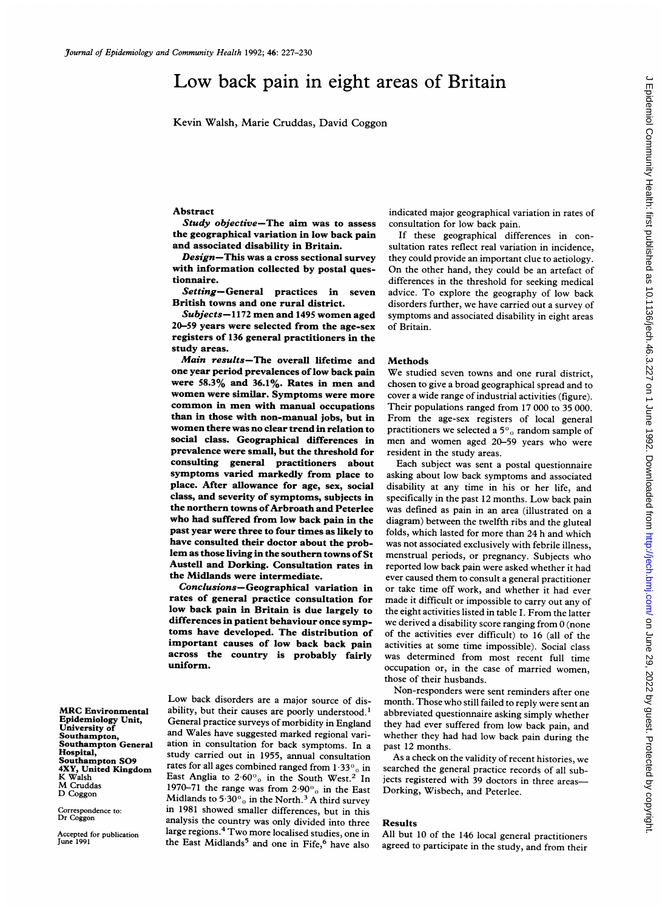# Low back pain in eight areas of Britain

Kevin Walsh, Marie Cruddas, David Coggon

#### Abstract

Study objective-The aim was to assess the geographical variation in low back pain and associated disability in Britain.

Design-This was a cross sectional survey with information collected by postal questionnaire.

Setting-General practices in seven British towns and one rural district.

Subjects-1172 men and <sup>1495</sup> women aged 20-59 years were selected from the age-sex registers of 136 general practitioners in the study areas.

Main results-The overall lifetime and one year period prevalences of low back pain were 58.3% and 36.1%. Rates in men and women were similar. Symptoms were more common in men with manual occupations than in those with non-manual jobs, but in women there was no clear trend in relation to social class. Geographical differences in prevalence were small, but the threshold for consulting general practitioners about symptoms varied markedly from place to place. After allowance for age, sex, social class, and severity of symptoms, subjects in the northern towns of Arbroath and Peterlee who had suffered from low back pain in the past year were three to four times as likely to have consulted their doctor about the problem as those living in the southern towns of St Austell and Dorking. Consultation rates in the Midlands were intermediate.

Conclusions-Geographical variation in rates of general practice consultation for low back pain in Britain is due largely to differences in patient behaviour once symptoms have developed. The distribution of important causes of low back back pain across the country is probably fairly uniform.

Low back disorders are <sup>a</sup> major source of disability, but their causes are poorly understood.' General practice surveys of morbidity in England and Wales have suggested marked regional variation in consultation for back symptoms. In a study carried out in 1955, annual consultation rates for all ages combined ranged from  $1.33\%$  in East Anglia to  $2.60\%$  in the South West.<sup>2</sup> In 1970-71 the range was from  $2.90\%$  in the East Midlands to 5.30% in the North.<sup>3</sup> A third survey in 1981 showed smaller differences, but in this analysis the country was only divided into three large regions.4 Two more localised studies, one in the East Midlands<sup>5</sup> and one in Fife,<sup>6</sup> have also

indicated major geographical variation in rates of consultation for low back pain.

If these geographical differences in consultation rates reflect real variation in incidence, they could provide an important clue to aetiology. On the other hand, they could be an artefact of differences in the threshold for seeking medical advice. To explore the geography of low back disorders further, we have carried out <sup>a</sup> survey of symptoms and associated disability in eight areas of Britain.

## **Methods**

We studied seven towns and one rural district, chosen to give <sup>a</sup> broad geographical spread and to cover <sup>a</sup> wide range of industrial activities (figure). Their populations ranged from 17 000 to 35 000. From the age-sex registers of local general practitioners we selected a  $5\%$  random sample of men and women aged 20-59 years who were resident in the study areas.

Each subject was sent <sup>a</sup> postal questionnaire asking about low back symptoms and associated disability at any time in his or her life, and specifically in the past <sup>12</sup> months. Low back pain was defined as pain in an area (illustrated on <sup>a</sup> diagram) between the twelfth ribs and the gluteal folds, which lasted for more than 24 h and which was not associated exclusively with febrile illness, menstrual periods, or pregnancy. Subjects who reported low back pain were asked whether it had ever caused them to consult <sup>a</sup> general practitioner or take time off work, and whether it had ever made it difficult or impossible to carry out any of the eight activities listed in table I. From the latter we derived <sup>a</sup> disability score ranging from <sup>0</sup> (none of the activities ever difficult) to 16 (all of the activities at some time impossible). Social class was determined from most recent full time occupation or, in the case of married women, those of their husbands.

Non-responders were sent reminders after one month. Those who still failed to reply were sent an abbreviated questionnaire asking simply whether they had ever suffered from low back pain, and whether they had had low back pain during the past 12 months.

As <sup>a</sup> check on the validity of recent histories, we searched the general practice records of all subjects registered with 39 doctors in three areas-Dorking, Wisbech, and Peterlee.

# Results

All but <sup>10</sup> of the 146 local general practitioners agreed to participate in the study, and from their

MRC Environmental Epidemiology Unit, University of Southampton, Southampton General Hospital, Southampton S09 4XY, United Kingdom K Walsh M Cruddas D Coggon

Correspondence to: Dr Coggon

Accepted for publication June 1991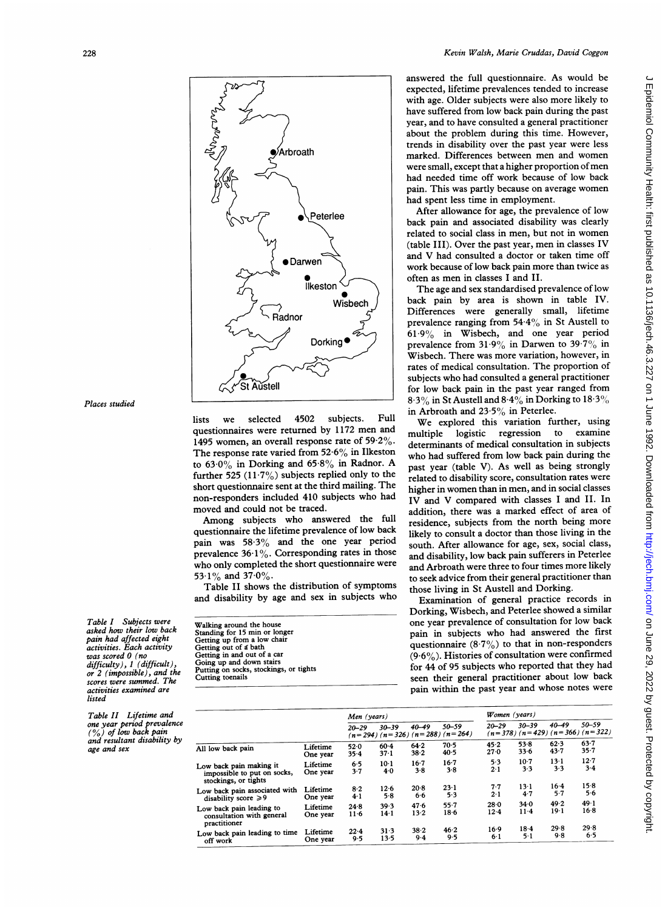

Places studied

Table I Subjects were asked how their low back pain had affected eight activities. Each activity was scored 0 (no difficulty), 1 (difficult) or 2 (impossible), and the scores were summed. The activities examined are listed

Table II Lifetime and one year period prevalence<br>(%) of low back pain and resultant disability by age and sex

lists we selected 4502 subjects. Full questionnaires were returned by <sup>1172</sup> men and 1495 women, an overall response rate of  $59.2\%$ . The response rate varied from  $52.6\%$  in Ilkeston to  $63.0\%$  in Dorking and  $65.8\%$  in Radnor. A further 525  $(11.7\%)$  subjects replied only to the short questionnaire sent at the third mailing. The non-responders included 410 subjects who had moved and could not be traced.

Among subjects who answered the full questionnaire the lifetime prevalence of low back pain was 58.3% and the one year period prevalence  $36.1\%$ . Corresponding rates in those who only completed the short questionnaire were 53.1% and 37.0%.

Table II shows the distribution of symptoms and disability by age and sex in subjects who

| Walking around the house               |  |
|----------------------------------------|--|
| Standing for 15 min or longer          |  |
| Getting up from a low chair            |  |
| Getting out of a bath                  |  |
| Getting in and out of a car            |  |
| Going up and down stairs               |  |
| Putting on socks, stockings, or tights |  |
| Cutting toenails                       |  |

answered the full questionnaire. As would be expected, lifetime prevalences tended to increase with age. Older subjects were also more likely to have suffered from low back pain during the past year, and to have consulted a general practitioner about the problem during this time. However, trends in disability over the past year were less marked. Differences between men and women were small, except that <sup>a</sup> higher proportion of men had needed time off work because of low back pain. This was partly because on average women had spent less time in employment.

After allowance for age, the prevalence of low back pain and associated disability was clearly related to social class in men, but not in women (table III). Over the past year, men in classes IV and V had consulted <sup>a</sup> doctor or taken time off work because of low back pain more than twice as often as men in classes <sup>I</sup> and II.

The age and sex standardised prevalence of low back pain by area is shown in table IV. Differences were generally small, lifetime prevalence ranging from  $54.4\%$  in St Austell to  $61.9\%$  in Wisbech, and one year period prevalence from  $31.9\%$  in Darwen to  $39.7\%$  in Wisbech. There was more variation, however, in rates of medical consultation. The proportion of subjects who had consulted <sup>a</sup> general practitioner for low back pain in the past year ranged from 8.3% in St Austell and  $8.4\%$  in Dorking to  $18.3\%$ in Arbroath and  $23.5\%$  in Peterlee.

We explored this variation further, using<br>ultiple logistic regression to examine multiple logistic regression to determinants of medical consultation in subjects who had suffered from low back pain during the past year (table V). As well as being strongly related to disability score, consultation rates were higher in women than in men, and in social classes IV and V compared with classes <sup>I</sup> and II. In addition, there was a marked effect of area of residence, subjects from the north being more likely to consult a doctor than those living in the south. After allowance for age, sex, social class, and disability, low back pain sufferers in Peterlee and Arbroath were three to four times more likely to seek advice from their general practitioner than those living in St Austell and Dorking.

Examination of general practice records in Dorking, Wisbech, and Peterlee showed <sup>a</sup> similar one year prevalence of consultation for low back pain in subjects who had answered the first questionnaire  $(8.7\%)$  to that in non-responders  $(9.6\%)$ . Histories of consultation were confirmed for 44 of 95 subjects who reported that they had seen their general practitioner about low back pain within the past year and whose notes were

|                                                                                |                      | Men (years)    |                |                 |                                                      | Women (years)            |                  |                     |                                                  |
|--------------------------------------------------------------------------------|----------------------|----------------|----------------|-----------------|------------------------------------------------------|--------------------------|------------------|---------------------|--------------------------------------------------|
|                                                                                |                      | $20 - 29$      | $30 - 39$      | $40 - 49$       | $50 - 59$<br>$(n=294)$ $(n=326)$ $(n=288)$ $(n=264)$ | $20 - 29$                | $30 - 39$        | $40 - 49$           | 50-59<br>$(n=378)$ $(n=429)$ $(n=366)$ $(n=322)$ |
| All low back pain                                                              | Lifetime<br>One year | 52.0<br>35.4   | $60-4$<br>37.1 | 64.2<br>38.2    | $70-5$<br>$40-5$                                     | 45.2<br>27.0             | 53.8<br>33.6     | 62.3<br>43.7        | $63 - 7$<br>35.7                                 |
| Low back pain making it<br>impossible to put on socks,<br>stockings, or tights | Lifetime<br>One year | 6.5<br>$3 - 7$ | $10-1$<br>40   | $16 - 7$<br>3.8 | $16-7$<br>$3-8$                                      | 5.3<br>2.1               | $10-7$<br>3.3    | $13-1$<br>3.3       | $12 - 7$<br>$3-4$                                |
| Low back pain associated with<br>disability score $\geq 9$                     | Lifetime<br>One year | $8-2$<br>4.1   | 12.6<br>5.8    | 20.8<br>6.6     | $23-1$<br>5.3                                        | $7 - 7$<br>$2 - 1$       | $13-1$<br>4.7    | $16 - 4$<br>$5 - 7$ | 15.8<br>5.6                                      |
| Low back pain leading to<br>consultation with general<br>practitioner          | Lifetime<br>One year | 24.8<br>$11-6$ | 39.3<br>14.1   | 47.6<br>$13-2$  | $55 - 7$<br>$18-6$                                   | 28.0<br>12.4             | 34.0<br>$11 - 4$ | 49.2<br>$19-1$      | 49.1<br>$16-8$                                   |
| Low back pain leading to time<br>off work                                      | Lifetime<br>One year | 22.4<br>9.5    | 31.3<br>13.5   | 38.2<br>$9-4$   | 46.2<br>9.5                                          | $16-9$<br>6 <sub>1</sub> | 18.4<br>$5 - 1$  | 29.8<br>9.8         | 29.8<br>6.5                                      |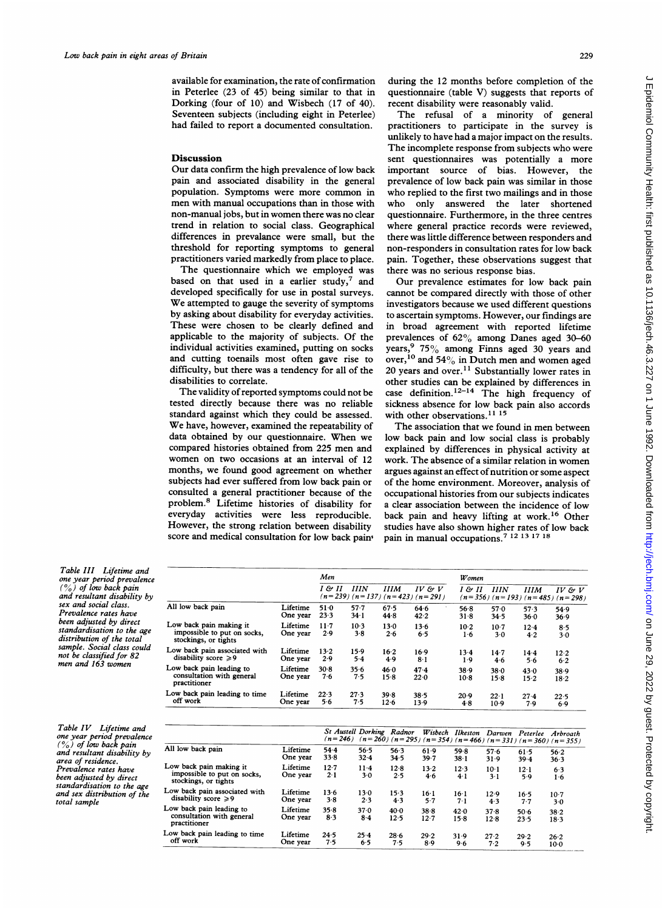available for examination, the rate of confirmation in Peterlee (23 of 45) being similar to that in Dorking (four of 10) and Wisbech (17 of 40). Seventeen subjects (including eight in Peterlee) had failed to report a documented consultation.

### **Discussion**

Our data confirm the high prevalence of low back pain and associated disability in the general population. Symptoms were more common in men with manual occupations than in those with non-manual jobs, but in women there was no clear trend in relation to social class. Geographical differences in prevalance were small, but the threshold for reporting symptoms to general practitioners varied markedly from place to place.

The questionnaire which we employed was based on that used in a earlier study,<sup>7</sup> and developed specifically for use in postal surveys. We attempted to gauge the severity of symptoms by asking about disability for everyday activities. These were chosen to be clearly defined and applicable to the majority of subjects. Of the individual activities examined, putting on socks and cutting toenails most often gave rise to difficulty, but there was a tendency for all of the disabilities to correlate.

The validity of reported symptoms could not be tested directly because there was no reliable standard against which they could be assessed. We have, however, examined the repeatability of data obtained by our questionnaire. When we compared histories obtained from 225 men and women on two occasions at an interval of <sup>12</sup> months, we found good agreement on whether subjects had ever suffered from low back pain or consulted a general practitioner because of the problem.8 Lifetime histories of disability for everyday activities were less reproducible. However, the strong relation between disability score and medical consultation for low back pain<sup>1</sup> during the 12 months before completion of the questionnaire (table V) suggests that reports of recent disability were reasonably valid.

The refusal of <sup>a</sup> minority of general practitioners to participate in the survey is unlikely to have had <sup>a</sup> major impact on the results. The incomplete response from subjects who were sent questionnaires was potentially a more important source of bias. However, the prevalence of low back pain was similar in those who replied to the first two mailings and in those who only answered the later shortened questionnaire. Furthermore, in the three centres where general practice records were reviewed, there was little difference between responders and non-responders in consultation rates for low back pain. Together, these observations suggest that there was no serious response bias.

Our prevalence estimates for low back pain cannot be compared directly with those of other investigators because we used different questions to ascertain symptoms. However, our findings are in broad agreement with reported lifetime prevalences of 62% among Danes aged 30-60 years,<sup>9</sup> 75% among Finns aged 30 years and over,  $^{10}$  and 54% in Dutch men and women aged 20 years and over.<sup>11</sup> Substantially lower rates in other studies can be explained by differences in case definition.<sup>12-14</sup> The high frequency of sickness absence for low back pain also accords with other observations.<sup>11 15</sup>

The association that we found in men between low back pain and low social class is probably explained by differences in physical activity at work. The absence of <sup>a</sup> similar relation in women argues against an effect of nutrition or some aspect of the home environment. Moreover, analysis of occupational histories from our subjects indicates a clear association between the incidence of low back pain and heavy lifting at work.'6 Other studies have also shown higher rates of low back pain in manual occupations.<sup>7</sup> <sup>12</sup><sup>13</sup><sup>17</sup><sup>18</sup>

Table III Lifetime and one year period prevalence (%) of low back pain and resultant disability by sex and social class. Prevalence rates have been adjusted by direct standardisation to the age distribution of the total sample. Social class could not be classified for 82 men and 163 women

Table IV Lifetime and one year period prevalence (O%) of low back pain and resultant disability by area of residence. Prevalence rates have been adjusted by direct standardisation to the age and sex distribution of the total sample

|                                                                                |                      | Men           |                  |               |                                                   | Women          |                      |                |                                                      |  |
|--------------------------------------------------------------------------------|----------------------|---------------|------------------|---------------|---------------------------------------------------|----------------|----------------------|----------------|------------------------------------------------------|--|
|                                                                                |                      | I & II        | <b>IIIN</b>      | <b>IIIM</b>   | IV & V<br>$(n=239)$ $(n=137)$ $(n=423)$ $(n=291)$ | 1 & 11         | <b>IIIN</b>          | <b>IIIM</b>    | $IV \& V$<br>$(n=356)$ $(n=193)$ $(n=485)$ $(n=298)$ |  |
| All low back pain                                                              | Lifetime<br>One year | 51.0<br>23.3  | $57 - 7$<br>34.1 | 67.5<br>44.8  | 64.6<br>42.2                                      | 56.8<br>31.8   | 57.0<br>34.5         | 57.3<br>36.0   | 54.9<br>36.9                                         |  |
| Low back pain making it<br>impossible to put on socks,<br>stockings, or tights | Lifetime<br>One year | $11-7$<br>2.9 | $10-3$<br>3.8    | $13-0$<br>2.6 | $13-6$<br>6.5                                     | 10.2<br>1·6    | $10-7$<br>$3-0$      | 12.4<br>4.2    | 8.5<br>3.0                                           |  |
| Low back pain associated with<br>disability score $\geqslant$ 9                | Lifetime<br>One vear | $13-2$<br>2.9 | 15.9<br>5.4      | $16-2$<br>4.9 | 16.9<br>8·1                                       | 13.4<br>$1-9$  | 14.7<br>4.6          | 14.4<br>5.6    | 12.2<br>6.2                                          |  |
| Low back pain leading to<br>consultation with general<br>practitioner          | Lifetime<br>One year | 30.8<br>7·6   | 35.6<br>7.5      | 46.0<br>15.8  | 47.4<br>22.0                                      | 38.9<br>$10-8$ | 380<br>15.8          | 43.0<br>$15-2$ | 38.9<br>18.2                                         |  |
| Low back pain leading to time<br>off work                                      | Lifetime<br>One year | 22.3<br>56    | 27.3<br>7.5      | 39.8<br>12.6  | 38.5<br>13.9                                      | 20.9<br>4.8    | $22 \cdot 1$<br>10.9 | 27.4<br>7.9    | 22.5<br>6.9                                          |  |

|                                                                                |                      | St Austell Dorking Radnor<br>$(n=246)$ $(n=260)$ $(n=295)$ $(n=354)$ $(n=466)$ $(n=331)$ $(n=360)$ $(n=355)$ |                 |              |               | Wisbech Ilkeston Darwen Peterlee Arbroath |                 |                 |              |
|--------------------------------------------------------------------------------|----------------------|--------------------------------------------------------------------------------------------------------------|-----------------|--------------|---------------|-------------------------------------------|-----------------|-----------------|--------------|
| All low back pain                                                              | Lifetime             | 54.4                                                                                                         | 56.5            | 56.3         | 61.9          | 59.8                                      | 57.6            | $61-5$          | 56.2         |
|                                                                                | One vear             | 33.8                                                                                                         | 32.4            | 34.5         | 39.7          | 38.1                                      | 31.9            | 39.4            | 36.3         |
| Low back pain making it<br>impossible to put on socks,<br>stockings, or tights | Lifetime<br>One year | 12.7<br>$2 - 1$                                                                                              | $11 - 4$<br>3.0 | 12.8<br>2.5  | $13-2$<br>4.6 | 12.3<br>4.1                               | $10-1$<br>$3-1$ | $12 - 1$<br>5.9 | 6.3<br>$1-6$ |
| Low back pain associated with                                                  | Lifetime             | 13.6                                                                                                         | 13.0            | $15-3$       | $16-1$        | 16-1                                      | 12.9            | 16 <sub>5</sub> | $10-7$       |
| disability score $\geqslant$ 9                                                 | One year             | $3 - 8$                                                                                                      | 2.3             | 4.3          | 5.7           | $7 - 1$                                   | 4.3             | 7.7             | 3.0          |
| Low back pain leading to<br>consultation with general<br>practitioner          | Lifetime<br>One year | 35.8<br>8.3                                                                                                  | 37.0<br>8.4     | 40.0<br>12.5 | 388<br>12.7   | 42.0<br>15.8                              | 37.8<br>12.8    | $50-6$<br>23.5  | 38.2<br>18.3 |
| Low back pain leading to time                                                  | Lifetime             | $24 - 5$                                                                                                     | 25.4            | 28.6         | 29.2          | 31.9                                      | 27.2            | 29.2            | 26.2         |
| off work                                                                       | One year             | 7.5                                                                                                          | 6.5             | 7.5          | 8.9           | 9.6                                       | 7.2             | 9.5             | $10-0$       |